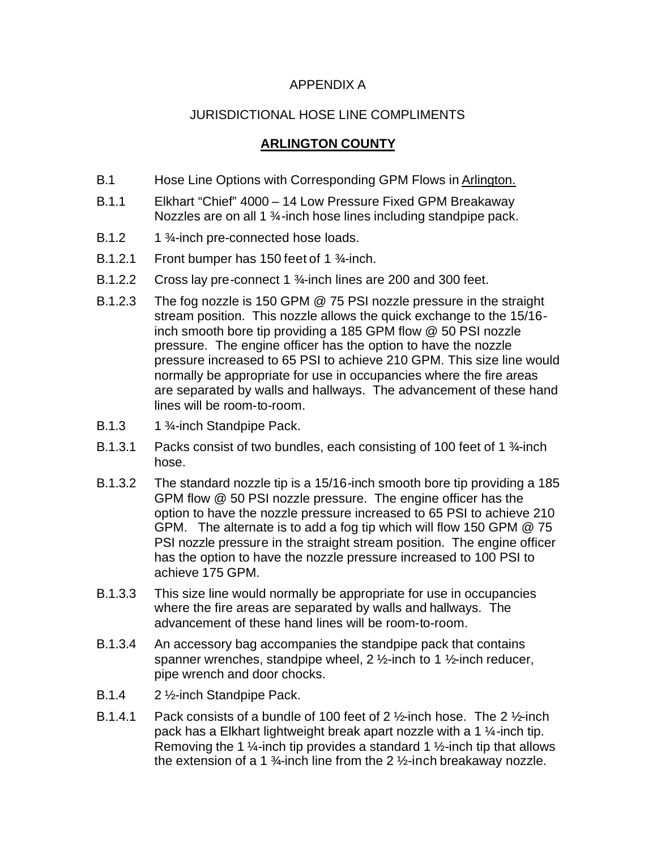## APPENDIX A

## JURISDICTIONAL HOSE LINE COMPLIMENTS

## **ARLINGTON COUNTY**

- B.1 Hose Line Options with Corresponding GPM Flows in Arlington.
- B.1.1 Elkhart "Chief" 4000 14 Low Pressure Fixed GPM Breakaway Nozzles are on all 1 3⁄4-inch hose lines including standpipe pack.
- B.1.2 1 <sup>3</sup>/<sub>4</sub>-inch pre-connected hose loads.
- B.1.2.1 Front bumper has 150 feet of 1 ¾-inch.
- B.1.2.2 Cross lay pre-connect 1 ¾-inch lines are 200 and 300 feet.
- B.1.2.3 The fog nozzle is 150 GPM @ 75 PSI nozzle pressure in the straight stream position. This nozzle allows the quick exchange to the 15/16 inch smooth bore tip providing a 185 GPM flow @ 50 PSI nozzle pressure. The engine officer has the option to have the nozzle pressure increased to 65 PSI to achieve 210 GPM. This size line would normally be appropriate for use in occupancies where the fire areas are separated by walls and hallways. The advancement of these hand lines will be room-to-room.
- B.1.3 1 <sup>3</sup>/<sub>4</sub>-inch Standpipe Pack.
- B.1.3.1 Packs consist of two bundles, each consisting of 100 feet of 1 ¼-inch hose.
- B.1.3.2 The standard nozzle tip is a 15/16-inch smooth bore tip providing a 185 GPM flow @ 50 PSI nozzle pressure. The engine officer has the option to have the nozzle pressure increased to 65 PSI to achieve 210 GPM. The alternate is to add a fog tip which will flow 150 GPM @ 75 PSI nozzle pressure in the straight stream position. The engine officer has the option to have the nozzle pressure increased to 100 PSI to achieve 175 GPM.
- B.1.3.3 This size line would normally be appropriate for use in occupancies where the fire areas are separated by walls and hallways. The advancement of these hand lines will be room-to-room.
- B.1.3.4 An accessory bag accompanies the standpipe pack that contains spanner wrenches, standpipe wheel,  $2\frac{1}{2}$ -inch to 1  $\frac{1}{2}$ -inch reducer, pipe wrench and door chocks.
- B.1.4 2 ½-inch Standpipe Pack.
- B.1.4.1 Pack consists of a bundle of 100 feet of 2 ½-inch hose. The 2 ½-inch pack has a Elkhart lightweight break apart nozzle with a 1 ¼-inch tip. Removing the 1  $\frac{1}{4}$ -inch tip provides a standard 1  $\frac{1}{2}$ -inch tip that allows the extension of a 1  $\frac{3}{4}$ -inch line from the 2  $\frac{1}{2}$ -inch breakaway nozzle.